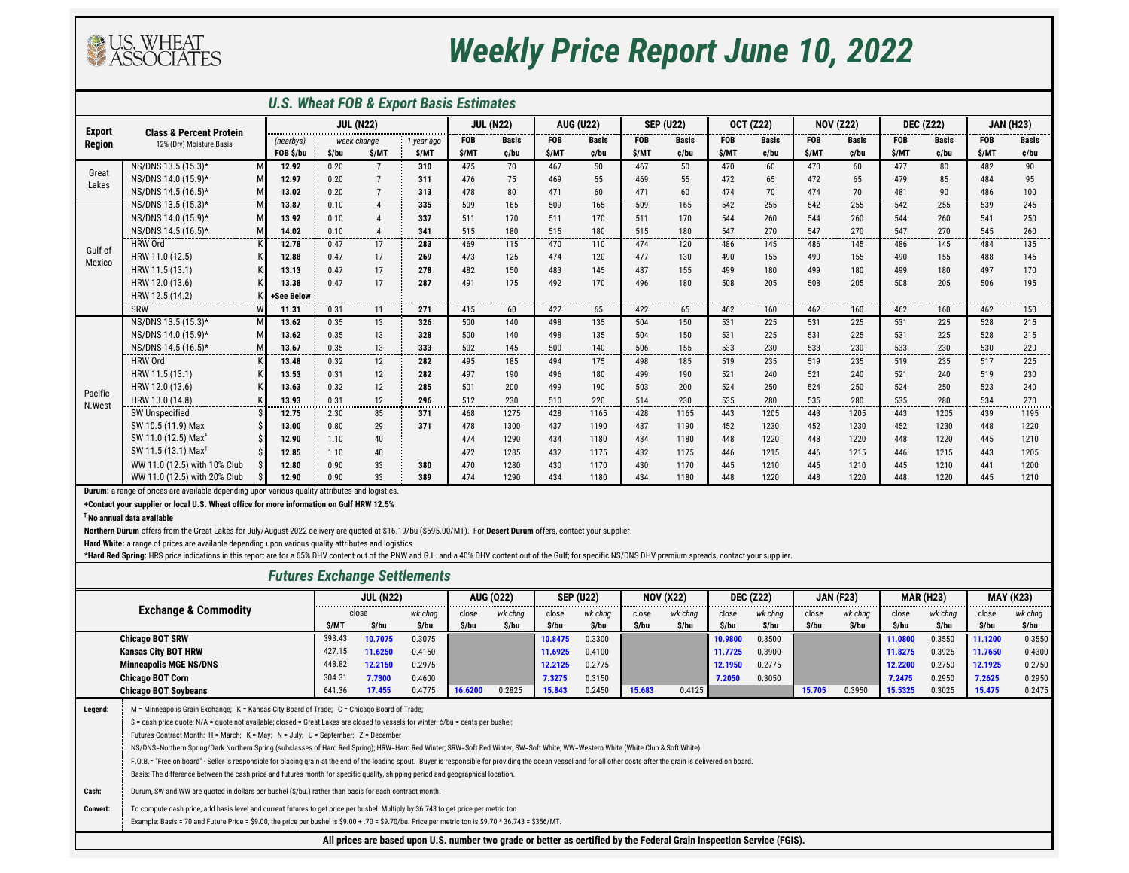### *U.S. Wheat FOB & Export Basis Estimates*

**+Contact your supplier or local U.S. Wheat office for more information on Gulf HRW 12.5%**

**‡ No annual data available**

### *Futures Exchange Settlements*

|               |                                    |   |            |                |                   | U.S. Wheat FOB & Export Basis Estimates |              |                  |               |                  |               |                  |            |                  |            |                  |              |                  |            |                  |
|---------------|------------------------------------|---|------------|----------------|-------------------|-----------------------------------------|--------------|------------------|---------------|------------------|---------------|------------------|------------|------------------|------------|------------------|--------------|------------------|------------|------------------|
| <b>Export</b> | <b>Class &amp; Percent Protein</b> |   |            |                | <b>JUL (N22)</b>  |                                         |              | <b>JUL (N22)</b> |               | <b>AUG (U22)</b> |               | <b>SEP (U22)</b> |            | <b>OCT (Z22)</b> |            | <b>NOV (Z22)</b> |              | <b>DEC (Z22)</b> |            | <b>JAN (H23)</b> |
| <b>Region</b> | 12% (Dry) Moisture Basis           |   | (nearbys)  |                | week change       | 1 year ago                              | <b>FOB</b>   | <b>Basis</b>     | <b>FOB</b>    | <b>Basis</b>     | <b>FOB</b>    | <b>Basis</b>     | <b>FOB</b> | <b>Basis</b>     | <b>FOB</b> | <b>Basis</b>     | <b>FOB</b>   | <b>Basis</b>     | <b>FOB</b> | <b>Basis</b>     |
|               |                                    |   | FOB \$/bu  | \$/bu          | \$/MT             | \$/MT                                   | \$/MT        | ¢/bu             | \$/MT         | ¢/bu             | \$/MT         | ¢/bu             | \$/MT      | ¢/bu             | \$/MT      | ¢/bu             | \$/MT        | ¢/bu             | \$/MT      | c/bu             |
| Great         | NS/DNS 13.5 (15.3)*                | M | 12.92      | 0.20           | 7                 | 310                                     | 475          | 70               | 467           | 50               | 467           | 50               | 470        | 60               | 470        | 60               | 477          | 80               | 482        | 90               |
| Lakes         | NS/DNS 14.0 (15.9)*                | M | 12.97      | 0.20           | $\overline{7}$    | 311                                     | 476          | 75               | 469           | 55               | 469           | 55               | 472        | 65               | 472        | 65               | 479          | 85               | 484        | 95               |
|               | NS/DNS 14.5 (16.5)*                | M | 13.02      | 0.20           | $\overline{7}$    | 313                                     | 478          | 80               | 471           | 60               | 471           | 60               | 474        | 70               | 474        | 70               | 481          | 90               | 486        | 100              |
|               | NS/DNS 13.5 (15.3)*                | M | 13.87      | 0.10           | $\overline{4}$    | 335                                     | 509          | 165              | 509           | 165              | 509           | 165              | 542        | 255              | 542        | 255              | 542          | 255              | 539        | 245              |
|               | NS/DNS 14.0 (15.9)*                |   | 13.92      | 0.10           |                   | 337                                     | 511          | 170              | 511           | 170              | 511           | 170              | 544        | 260              | 544        | 260              | 544          | 260              | 541        | 250              |
|               | NS/DNS 14.5 (16.5)*                | м | 14.02      | 0.10<br>------ | ------            | 341                                     | 515<br>----- | 180<br>-----     | 515<br>------ | 180<br>-----     | 515<br>------ | 180<br>------    | 547        | 270<br>.         | 547        | 270              | 547<br>----- | 270<br>------    | 545        | 260<br>-------   |
| Gulf of       | <b>HRW Ord</b>                     |   | 12.78      | 0.47           | 17                | 283                                     | 469          | 115              | 470           | 110              | 474           | 120              | 486        | 145              | 486        | 145              | 486          | 145              | 484        | 135              |
| Mexico        | HRW 11.0 (12.5)                    |   | 12.88      | 0.47           | 17                | 269                                     | 473          | 125              | 474           | 120              | 477           | 130              | 490        | 155              | 490        | 155              | 490          | 155              | 488        | 145              |
|               | HRW 11.5 (13.1)                    |   | 13.13      | 0.47           | 17                | 278                                     | 482          | 150              | 483           | 145              | 487           | 155              | 499        | 180              | 499        | 180              | 499          | 180              | 497        | 170              |
|               | HRW 12.0 (13.6)                    |   | 13.38      | 0.47           | 17                | 287                                     | 491          | 175              | 492           | 170              | 496           | 180              | 508        | 205              | 508        | 205              | 508          | 205              | 506        | 195              |
|               | HRW 12.5 (14.2)                    |   | +See Below |                |                   |                                         |              |                  |               |                  |               |                  |            |                  |            |                  |              |                  |            |                  |
|               | <b>SRW</b>                         | W | 11.31      | 0.31           | 11                | 271                                     | 415          | 60               | 422           | 65               | 422           | 65               | 462        | 160              | 462        | 160              | 462          | 160              | 462        | 150              |
|               | NS/DNS 13.5 (15.3)*                |   | 13.62      | 0.35           | 13                | 326                                     | 500          | 140              | 498           | 135              | 504           | 150              | 531        | 225              | 531        | 225              | 531          | 225              | 528        | 215              |
|               | NS/DNS 14.0 (15.9)*                |   | 13.62      | 0.35           | 13                | 328                                     | 500          | 140              | 498           | 135              | 504           | 150              | 531        | 225              | 531        | 225              | 531          | 225              | 528        | 215              |
|               | NS/DNS 14.5 (16.5)*                | M | 13.67      | 0.35           | 13                | 333                                     | 502          | 145              | 500           | 140              | 506           | 155              | 533        | 230              | 533        | 230              | 533          | 230              | 530        | 220              |
|               | <b>HRW Ord</b>                     |   | 13.48      | 0.32           | 12                | 282                                     | 495          | 185              | 494           | 175              | 498           | 185              | 519        | 235              | 519        | 235              | 519          | 235              | 517        | 225              |
|               | HRW 11.5 (13.1)                    |   | 13.53      | 0.31           | 12                | 282                                     | 497          | 190              | 496           | 180              | 499           | 190              | 521        | 240              | 521        | 240              | 521          | 240              | 519        | 230              |
| Pacific       | HRW 12.0 (13.6)                    |   | 13.63      | 0.32           | $12 \overline{ }$ | 285                                     | 501          | 200              | 499           | 190              | 503           | 200              | 524        | 250              | 524        | 250              | 524          | 250              | 523        | 240              |
| N.West        | HRW 13.0 (14.8)                    |   | 13.93      | 0.31           | 12                | 296                                     | 512          | 230              | 510           | 220              | 514           | 230              | 535        | 280              | 535        | 280              | 535          | 280              | 534        | 270              |
|               | <b>SW Unspecified</b>              |   | 12.75      | 2.30           | 85                | 371                                     | 468          | 1275             | 428           | 1165             | 428           | 1165             | 443        | 1205             | 443        | 1205             | 443          | 1205             | 439        | 1195             |
|               | SW 10.5 (11.9) Max                 |   | 13.00      | 0.80           | 29                | 371                                     | 478          | 1300             | 437           | 1190             | 437           | 1190             | 452        | 1230             | 452        | 1230             | 452          | 1230             | 448        | 1220             |
|               | SW 11.0 (12.5) Max <sup>+</sup>    |   | 12.90      | 1.10           | 40                |                                         | 474          | 1290             | 434           | 1180             | 434           | 1180             | 448        | 1220             | 448        | 1220             | 448          | 1220             | 445        | 1210             |
|               | SW 11.5 (13.1) Max <sup>‡</sup>    |   | 12.85      | 1.10           | 40                |                                         | 472          | 1285             | 432           | 1175             | 432           | 1175             | 446        | 1215             | 446        | 1215             | 446          | 1215             | 443        | 1205             |
|               | WW 11.0 (12.5) with 10% Club       |   | 12.80      | 0.90           | 33                | 380                                     | 470          | 1280             | 430           | 1170             | 430           | 1170             | 445        | 1210             | 445        | 1210             | 445          | 1210             | 441        | 1200             |
|               | WW 11.0 (12.5) with 20% Club       |   | 12.90      | 0.90           | 33                | 389                                     | 474          | 1290             | 434           | 1180             | 434           | 1180             | 448        | 1220             | 448        | 1220             | 448          | 1220             | 445        | 1210             |

|                 |                                                                                                                                                                                                                       |        | <b>JUL (N22)</b> |         |         | <b>AUG (Q22)</b> |         | <b>SEP (U22)</b> |        | <b>NOV (X22)</b>                                                                                                       |         | <b>DEC (Z22)</b> |        | <b>JAN (F23)</b> |         | <b>MAR (H23)</b> |         | <b>MAY (K23)</b> |
|-----------------|-----------------------------------------------------------------------------------------------------------------------------------------------------------------------------------------------------------------------|--------|------------------|---------|---------|------------------|---------|------------------|--------|------------------------------------------------------------------------------------------------------------------------|---------|------------------|--------|------------------|---------|------------------|---------|------------------|
|                 | <b>Exchange &amp; Commodity</b>                                                                                                                                                                                       |        | close            | wk chng | close   | wk chng          | close   | wk chng          | close  | wk chng                                                                                                                | close   | wk chng          | close  | wk chng          | close   | wk chng          | close   | wk chng          |
|                 |                                                                                                                                                                                                                       | \$/MT  | \$/bu            | \$/bu   | \$/bu   | \$/bu            | \$/bu   | \$/bu            | \$/bu  | \$/bu                                                                                                                  | \$/bu   | \$/bu            | \$/bu  | \$/bu            | \$/bu   | \$/bu            | \$/bu   | \$/bu            |
|                 | <b>Chicago BOT SRW</b>                                                                                                                                                                                                | 393.43 | 10.7075          | 0.3075  |         |                  | 10.8475 | 0.3300           |        |                                                                                                                        | 10.9800 | 0.3500           |        |                  | 11.0800 | 0.3550           | 11.1200 | 0.3550           |
|                 | <b>Kansas City BOT HRW</b>                                                                                                                                                                                            | 427.15 | 11.6250          | 0.4150  |         |                  | 11.6925 | 0.4100           |        |                                                                                                                        | 11.7725 | 0.3900           |        |                  | 11.8275 | 0.3925           | 11.7650 | 0.4300           |
|                 | <b>Minneapolis MGE NS/DNS</b>                                                                                                                                                                                         | 448.82 | 12.2150          | 0.2975  |         |                  | 12.2125 | 0.2775           |        |                                                                                                                        | 12.1950 | 0.2775           |        |                  | 12.2200 | 0.2750           | 12.1925 | 0.2750           |
|                 | <b>Chicago BOT Corn</b>                                                                                                                                                                                               | 304.31 | 7.7300           | 0.4600  |         |                  | 7.3275  | 0.3150           |        |                                                                                                                        | 7.2050  | 0.3050           |        |                  | 7.2475  | 0.2950           | 7.2625  | 0.2950           |
|                 | <b>Chicago BOT Soybeans</b>                                                                                                                                                                                           | 641.36 | 17.455           | 0.4775  | 16.6200 | 0.2825           | 15.843  | 0.2450           | 15.683 | 0.4125                                                                                                                 |         |                  | 15.705 | 0.3950           | 15.5325 | 0.3025           | 15.475  | 0.2475           |
| Legend:         | M = Minneapolis Grain Exchange; K = Kansas City Board of Trade; C = Chicago Board of Trade;                                                                                                                           |        |                  |         |         |                  |         |                  |        |                                                                                                                        |         |                  |        |                  |         |                  |         |                  |
|                 | \$ = cash price quote; N/A = quote not available; closed = Great Lakes are closed to vessels for winter; $\zeta$ /bu = cents per bushel;                                                                              |        |                  |         |         |                  |         |                  |        |                                                                                                                        |         |                  |        |                  |         |                  |         |                  |
|                 | Futures Contract Month: H = March; K = May; N = July; U = September; Z = December                                                                                                                                     |        |                  |         |         |                  |         |                  |        |                                                                                                                        |         |                  |        |                  |         |                  |         |                  |
|                 | NS/DNS=Northern Spring/Dark Northern Spring (subclasses of Hard Red Spring); HRW=Hard Red Winter; SRW=Soft Red Winter; SW=Soft White; WW=Western White (White Club & Soft White)                                      |        |                  |         |         |                  |         |                  |        |                                                                                                                        |         |                  |        |                  |         |                  |         |                  |
|                 | F.O.B.= "Free on board" - Seller is responsible for placing grain at the end of the loading spout. Buyer is responsible for providing the ocean vessel and for all other costs after the grain is delivered on board. |        |                  |         |         |                  |         |                  |        |                                                                                                                        |         |                  |        |                  |         |                  |         |                  |
|                 | Basis: The difference between the cash price and futures month for specific quality, shipping period and geographical location.                                                                                       |        |                  |         |         |                  |         |                  |        |                                                                                                                        |         |                  |        |                  |         |                  |         |                  |
| Cash:           | Durum, SW and WW are quoted in dollars per bushel (\$/bu.) rather than basis for each contract month.                                                                                                                 |        |                  |         |         |                  |         |                  |        |                                                                                                                        |         |                  |        |                  |         |                  |         |                  |
| <b>Convert:</b> | To compute cash price, add basis level and current futures to get price per bushel. Multiply by 36.743 to get price per metric ton.                                                                                   |        |                  |         |         |                  |         |                  |        |                                                                                                                        |         |                  |        |                  |         |                  |         |                  |
|                 | Example: Basis = 70 and Future Price = \$9.00, the price per bushel is \$9.00 + .70 = \$9.70/bu. Price per metric ton is \$9.70 * 36.743 = \$356/MT.                                                                  |        |                  |         |         |                  |         |                  |        |                                                                                                                        |         |                  |        |                  |         |                  |         |                  |
|                 |                                                                                                                                                                                                                       |        |                  |         |         |                  |         |                  |        | All prices are based upon U.S. number two grade or better as certified by the Federal Grain Inspection Service (FGIS). |         |                  |        |                  |         |                  |         |                  |



# *Weekly Price Report June 10, 2022*

**Northern Durum** offers from the Great Lakes for July/August 2022 delivery are quoted at \$16.19/bu (\$595.00/MT). For **Desert Durum** offers, contact your supplier.

**Hard White:** a range of prices are available depending upon various quality attributes and logistics

\*Hard Red Spring: HRS price indications in this report are for a 65% DHV content out of the PNW and G.L. and a 40% DHV content out of the Gulf; for specific NS/DNS DHV premium spreads, contact your supplier.

**Durum:** a range of prices are available depending upon various quality attributes and logistics.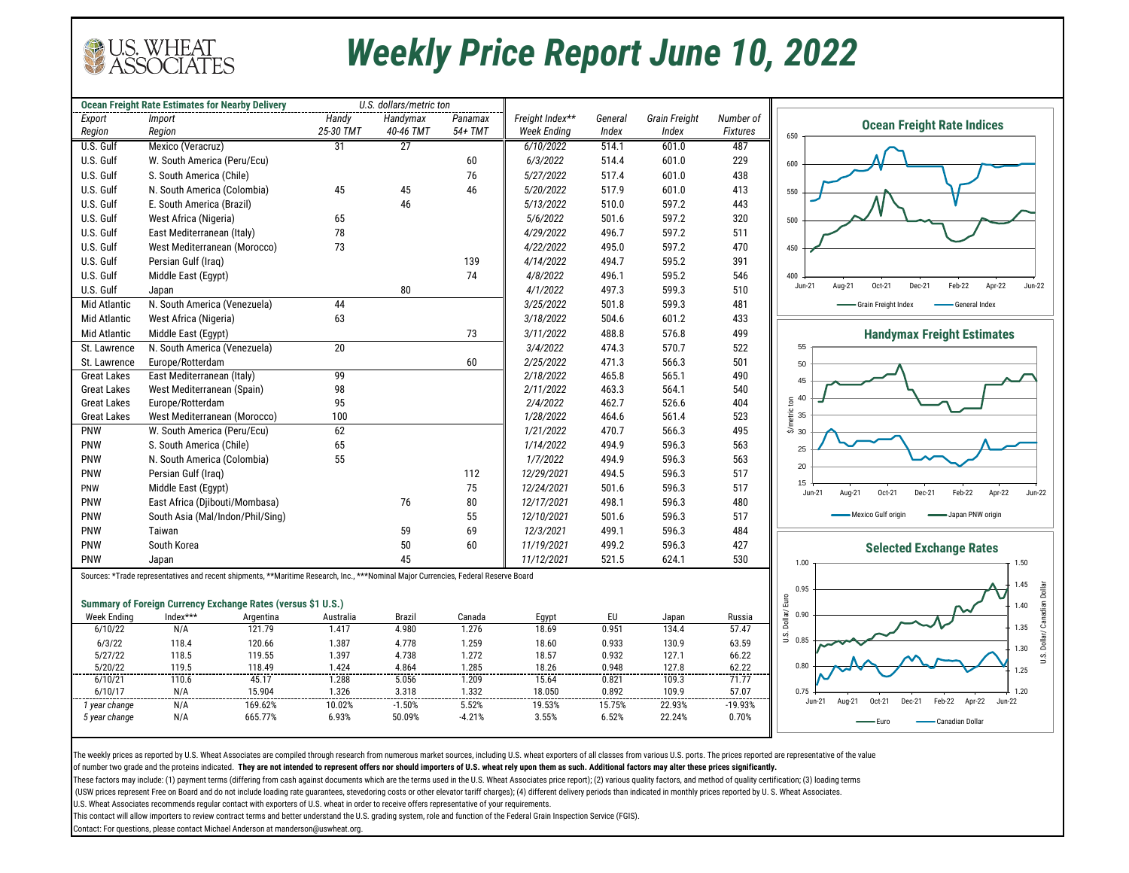The weekly prices as reported by U.S. Wheat Associates are compiled through research from numerous market sources, including U.S. wheat exporters of all classes from various U.S. ports. The prices reported are representati of number two grade and the proteins indicated. **They are not intended to represent offers nor should importers of U.S. wheat rely upon them as such. Additional factors may alter these prices significantly.** 

These factors may include: (1) payment terms (differing from cash against documents which are the terms used in the U.S. Wheat Associates price report); (2) various quality factors, and method of quality certification; (3) (USW prices represent Free on Board and do not include loading rate guarantees, stevedoring costs or other elevator tariff charges); (4) different delivery periods than indicated in monthly prices reported by U.S. Wheat As U.S. Wheat Associates recommends regular contact with exporters of U.S. wheat in order to receive offers representative of your requirements.

|                               | <b>Ocean Freight Rate Estimates for Nearby Delivery</b>                                                                             |                    | U.S. dollars/metric ton |                 |                    |             |                      |                 |
|-------------------------------|-------------------------------------------------------------------------------------------------------------------------------------|--------------------|-------------------------|-----------------|--------------------|-------------|----------------------|-----------------|
| Export                        | Import                                                                                                                              | Handy              | Handymax                | Panamax         | Freight Index**    | General     | <b>Grain Freight</b> | Number of       |
| Region                        | Region                                                                                                                              | 25-30 TMT          | 40-46 TMT               | 54+ TMT         | <b>Week Ending</b> | Index       | Index                | <b>Fixtures</b> |
| U.S. Gulf                     | Mexico (Veracruz)                                                                                                                   | 31                 | 27                      |                 | 6/10/2022          | 514.1       | 601.0                | 487             |
| U.S. Gulf                     | W. South America (Peru/Ecu)                                                                                                         |                    |                         | 60              | 6/3/2022           | 514.4       | 601.0                | 229             |
| U.S. Gulf                     | S. South America (Chile)                                                                                                            |                    |                         | 76              | 5/27/2022          | 517.4       | 601.0                | 438             |
| U.S. Gulf                     | N. South America (Colombia)                                                                                                         | 45                 | 45                      | 46              | 5/20/2022          | 517.9       | 601.0                | 413             |
| U.S. Gulf                     | E. South America (Brazil)                                                                                                           |                    | 46                      |                 | 5/13/2022          | 510.0       | 597.2                | 443             |
| U.S. Gulf                     | West Africa (Nigeria)                                                                                                               | 65                 |                         |                 | 5/6/2022           | 501.6       | 597.2                | 320             |
| U.S. Gulf                     | East Mediterranean (Italy)                                                                                                          | 78                 |                         |                 | 4/29/2022          | 496.7       | 597.2                | 511             |
| U.S. Gulf                     | West Mediterranean (Morocco)                                                                                                        | 73                 |                         |                 | 4/22/2022          | 495.0       | 597.2                | 470             |
| U.S. Gulf                     | Persian Gulf (Iraq)                                                                                                                 |                    |                         | 139             | 4/14/2022          | 494.7       | 595.2                | 391             |
| U.S. Gulf                     | Middle East (Egypt)                                                                                                                 |                    |                         | 74              | 4/8/2022           | 496.1       | 595.2                | 546             |
| U.S. Gulf                     | Japan                                                                                                                               |                    | $80\,$                  |                 | 4/1/2022           | 497.3       | 599.3                | 510             |
| <b>Mid Atlantic</b>           | N. South America (Venezuela)                                                                                                        | 44                 |                         |                 | 3/25/2022          | 501.8       | 599.3                | 481             |
| <b>Mid Atlantic</b>           | West Africa (Nigeria)                                                                                                               | 63                 |                         |                 | 3/18/2022          | 504.6       | 601.2                | 433             |
| <b>Mid Atlantic</b>           | Middle East (Egypt)                                                                                                                 |                    |                         | 73              | 3/11/2022          | 488.8       | 576.8                | 499             |
| St. Lawrence                  | N. South America (Venezuela)                                                                                                        | 20                 |                         |                 | 3/4/2022           | 474.3       | 570.7                | 522             |
| St. Lawrence                  | Europe/Rotterdam                                                                                                                    |                    |                         | 60              | 2/25/2022          | 471.3       | 566.3                | 501             |
| <b>Great Lakes</b>            | East Mediterranean (Italy)                                                                                                          | 99                 |                         |                 | 2/18/2022          | 465.8       | 565.1                | 490             |
| <b>Great Lakes</b>            | West Mediterranean (Spain)                                                                                                          | 98                 |                         |                 | 2/11/2022          | 463.3       | 564.1                | 540             |
| <b>Great Lakes</b>            | Europe/Rotterdam                                                                                                                    | 95                 |                         |                 | 2/4/2022           | 462.7       | 526.6                | 404             |
| <b>Great Lakes</b>            | West Mediterranean (Morocco)                                                                                                        | 100                |                         |                 | 1/28/2022          | 464.6       | 561.4                | 523             |
| <b>PNW</b>                    | W. South America (Peru/Ecu)                                                                                                         | 62                 |                         |                 | 1/21/2022          | 470.7       | 566.3                | 495             |
| PNW                           | S. South America (Chile)                                                                                                            | 65                 |                         |                 | 1/14/2022          | 494.9       | 596.3                | 563             |
| PNW                           | N. South America (Colombia)                                                                                                         | 55                 |                         |                 | 1/7/2022           | 494.9       | 596.3                | 563             |
| <b>PNW</b>                    | Persian Gulf (Iraq)                                                                                                                 |                    |                         | 112             | 12/29/2021         | 494.5       | 596.3                | 517             |
| <b>PNW</b>                    | Middle East (Egypt)                                                                                                                 |                    |                         | 75              | 12/24/2021         | 501.6       | 596.3                | 517             |
| PNW                           | East Africa (Djibouti/Mombasa)                                                                                                      |                    | 76                      | 80              | 12/17/2021         | 498.1       | 596.3                | 480             |
| <b>PNW</b>                    | South Asia (Mal/Indon/Phil/Sing)                                                                                                    |                    |                         | 55              | 12/10/2021         | 501.6       | 596.3                | 517             |
| PNW                           | Taiwan                                                                                                                              |                    | 59                      | 69              | 12/3/2021          | 499.1       | 596.3                | 484             |
| <b>PNW</b>                    | South Korea                                                                                                                         |                    | 50                      | 60              | 11/19/2021         | 499.2       | 596.3                | 427             |
| <b>PNW</b>                    | Japan                                                                                                                               |                    | 45                      |                 | 11/12/2021         | 521.5       | 624.1                | 530             |
|                               |                                                                                                                                     |                    |                         |                 |                    |             |                      |                 |
|                               | Sources: *Trade representatives and recent shipments, **Maritime Research, Inc., ***Nominal Major Currencies, Federal Reserve Board |                    |                         |                 |                    |             |                      |                 |
|                               |                                                                                                                                     |                    |                         |                 |                    |             |                      |                 |
|                               | Summary of Foreign Currency Exchange Rates (versus \$1 U.S.)                                                                        |                    |                         |                 |                    |             |                      |                 |
| <b>Week Ending</b><br>6/10/22 | Index***<br>Argentina<br>121.79<br>N/A                                                                                              | Australia<br>1.417 | <b>Brazil</b><br>4.980  | Canada<br>1.276 | Egypt<br>18.69     | EU<br>0.951 | Japan<br>134.4       | Russia<br>57.47 |
| 6/3/22                        | 118.4<br>120.66                                                                                                                     | 1.387              | 4.778                   | 1.259           | 18.60              | 0.933       | 130.9                | 63.59           |
| 5/27/22                       | 118.5<br>119.55                                                                                                                     | 1.397              | 4.738                   | 1.272           | 18.57              | 0.932       | 127.1                | 66.22           |
| 5/20/22                       | 119.5<br>118.49                                                                                                                     | 1.424              | 4.864                   | 1.285           | 18.26              | 0.948       | 127.8                | 62.22           |
| 6/10/21                       | 110.6<br>45.17                                                                                                                      | 1.288              | 5.056                   | 1.209           | 15.64              | 0.821       | 109.3                | 71.77           |
| 6/10/17                       | 15.904<br>N/A                                                                                                                       | 1.326              | 3.318                   | 1.332           | 18.050             | 0.892       | 109.9                | 57.07           |
| 1 year change                 | N/A<br>169.62%                                                                                                                      | 10.02%             | $-1.50%$                | 5.52%           | 19.53%             | 15.75%      | 22.93%               | $-19.93%$       |
| 5 year change                 | 665.77%<br>N/A                                                                                                                      | 6.93%              | 50.09%                  | $-4.21%$        | 3.55%              | 6.52%       | 22.24%               | 0.70%           |

This contact will allow importers to review contract terms and better understand the U.S. grading system, role and function of the Federal Grain Inspection Service (FGIS).

Contact: For questions, please contact Michael Anderson at manderson@uswheat.org.



## *Weekly Price Report June 10, 2022*

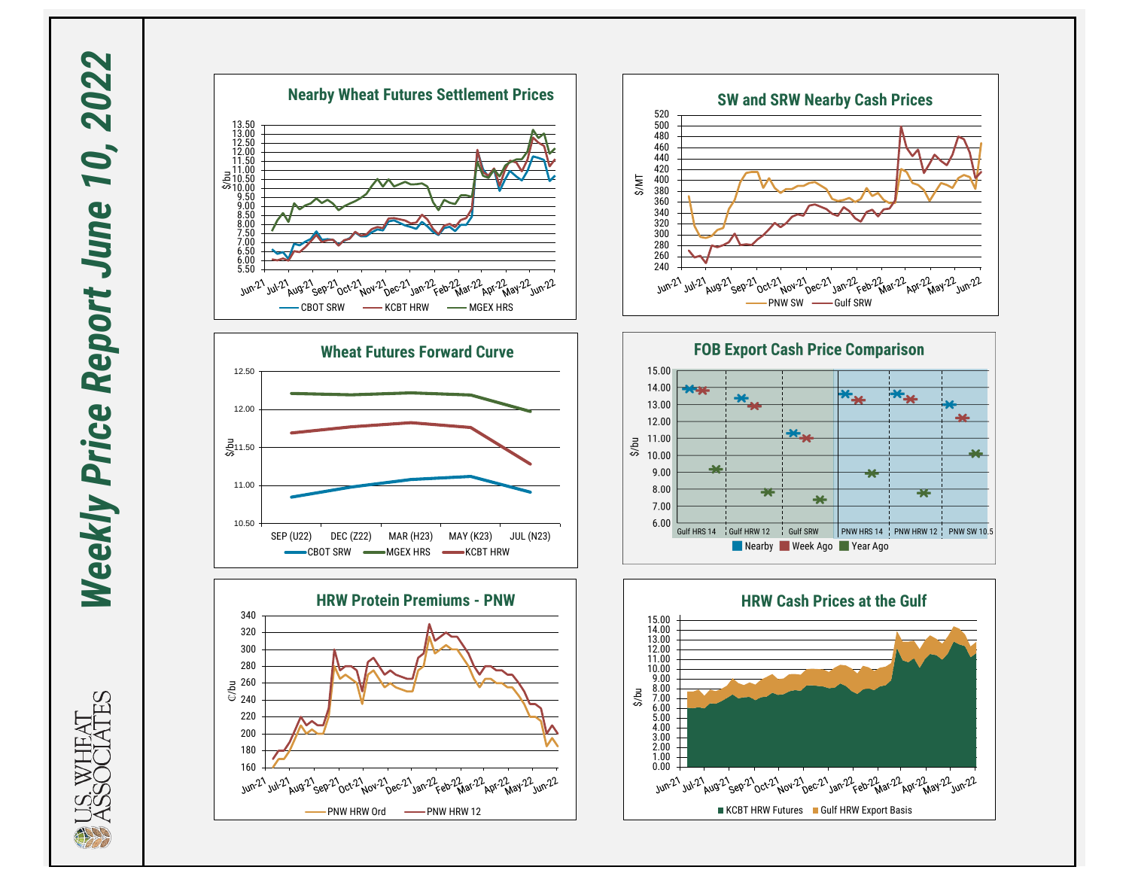Weekly Price Report June 10, 2022 *Weekly Price Report June 10, 2022*